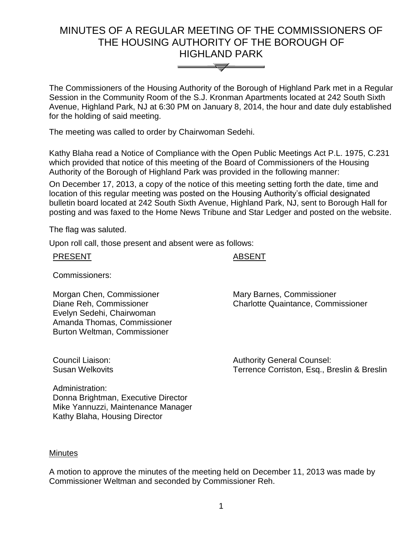# MINUTES OF A REGULAR MEETING OF THE COMMISSIONERS OF THE HOUSING AUTHORITY OF THE BOROUGH OF HIGHLAND PARK



The Commissioners of the Housing Authority of the Borough of Highland Park met in a Regular Session in the Community Room of the S.J. Kronman Apartments located at 242 South Sixth Avenue, Highland Park, NJ at 6:30 PM on January 8, 2014, the hour and date duly established for the holding of said meeting.

The meeting was called to order by Chairwoman Sedehi.

Kathy Blaha read a Notice of Compliance with the Open Public Meetings Act P.L. 1975, C.231 which provided that notice of this meeting of the Board of Commissioners of the Housing Authority of the Borough of Highland Park was provided in the following manner:

On December 17, 2013, a copy of the notice of this meeting setting forth the date, time and location of this regular meeting was posted on the Housing Authority's official designated bulletin board located at 242 South Sixth Avenue, Highland Park, NJ, sent to Borough Hall for posting and was faxed to the Home News Tribune and Star Ledger and posted on the website.

The flag was saluted.

Upon roll call, those present and absent were as follows:

## **ABSENT**

Commissioners:

Morgan Chen, Commissioner Diane Reh, Commissioner Evelyn Sedehi, Chairwoman Amanda Thomas, Commissioner Burton Weltman, Commissioner

Mary Barnes, Commissioner Charlotte Quaintance, Commissioner

Council Liaison: Susan Welkovits Authority General Counsel: Terrence Corriston, Esq., Breslin & Breslin

Administration: Donna Brightman, Executive Director Mike Yannuzzi, Maintenance Manager Kathy Blaha, Housing Director

## **Minutes**

A motion to approve the minutes of the meeting held on December 11, 2013 was made by Commissioner Weltman and seconded by Commissioner Reh.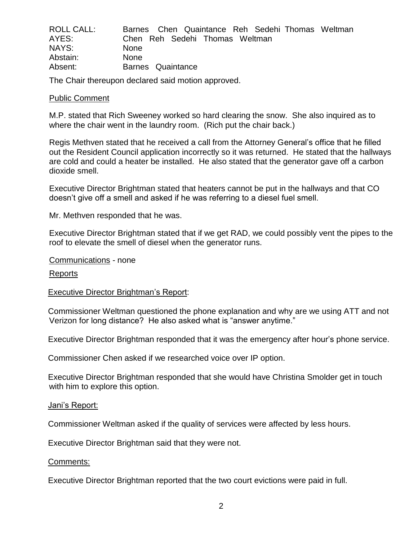| <b>ROLL CALL:</b> | Barnes Chen Quaintance Reh Sedehi Thomas Weltman |
|-------------------|--------------------------------------------------|
| AYES:             | Chen Reh Sedehi Thomas Weltman                   |
| NAYS:             | <b>None</b>                                      |
| Abstain:          | <b>None</b>                                      |
| Absent:           | Barnes Quaintance                                |

The Chair thereupon declared said motion approved.

#### Public Comment

M.P. stated that Rich Sweeney worked so hard clearing the snow. She also inquired as to where the chair went in the laundry room. (Rich put the chair back.)

Regis Methven stated that he received a call from the Attorney General's office that he filled out the Resident Council application incorrectly so it was returned. He stated that the hallways are cold and could a heater be installed. He also stated that the generator gave off a carbon dioxide smell.

Executive Director Brightman stated that heaters cannot be put in the hallways and that CO doesn't give off a smell and asked if he was referring to a diesel fuel smell.

Mr. Methven responded that he was.

Executive Director Brightman stated that if we get RAD, we could possibly vent the pipes to the roof to elevate the smell of diesel when the generator runs.

Communications - none

Reports

#### Executive Director Brightman's Report:

Commissioner Weltman questioned the phone explanation and why are we using ATT and not Verizon for long distance? He also asked what is "answer anytime."

Executive Director Brightman responded that it was the emergency after hour's phone service.

Commissioner Chen asked if we researched voice over IP option.

Executive Director Brightman responded that she would have Christina Smolder get in touch with him to explore this option.

#### Jani's Report:

Commissioner Weltman asked if the quality of services were affected by less hours.

Executive Director Brightman said that they were not.

#### Comments:

Executive Director Brightman reported that the two court evictions were paid in full.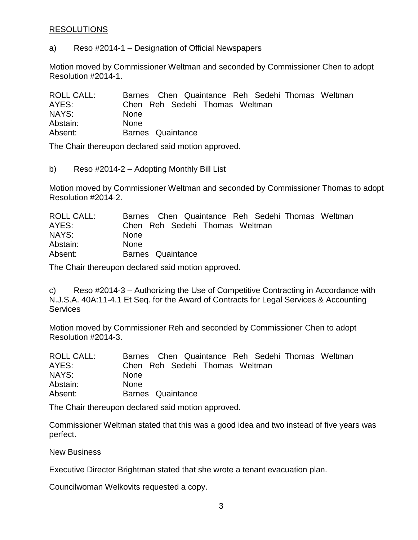# RESOLUTIONS

a) Reso #2014-1 – Designation of Official Newspapers

Motion moved by Commissioner Weltman and seconded by Commissioner Chen to adopt Resolution #2014-1.

| <b>ROLL CALL:</b> | Barnes Chen Quaintance Reh Sedehi Thomas Weltman |
|-------------------|--------------------------------------------------|
| AYES:             | Chen Reh Sedehi Thomas Weltman                   |
| NAYS:             | <b>None</b>                                      |
| Abstain:          | <b>None</b>                                      |
| Absent:           | Barnes Quaintance                                |

The Chair thereupon declared said motion approved.

b) Reso #2014-2 – Adopting Monthly Bill List

Motion moved by Commissioner Weltman and seconded by Commissioner Thomas to adopt Resolution #2014-2.

| ROLL CALL: | Barnes Chen Quaintance Reh Sedehi Thomas Weltman |
|------------|--------------------------------------------------|
| AYES:      | Chen Reh Sedehi Thomas Weltman                   |
| NAYS:      | <b>None</b>                                      |
| Abstain:   | <b>None</b>                                      |
| Absent:    | Barnes Quaintance                                |

The Chair thereupon declared said motion approved.

c) Reso #2014-3 – Authorizing the Use of Competitive Contracting in Accordance with N.J.S.A. 40A:11-4.1 Et Seq. for the Award of Contracts for Legal Services & Accounting **Services** 

Motion moved by Commissioner Reh and seconded by Commissioner Chen to adopt Resolution #2014-3.

| <b>ROLL CALL:</b> | Barnes Chen Quaintance Reh Sedehi Thomas Weltman |
|-------------------|--------------------------------------------------|
| AYES:             | Chen Reh Sedehi Thomas Weltman                   |
| NAYS:             | <b>None</b>                                      |
| Abstain:          | <b>None</b>                                      |
| Absent:           | Barnes Quaintance                                |

The Chair thereupon declared said motion approved.

Commissioner Weltman stated that this was a good idea and two instead of five years was perfect.

#### New Business

Executive Director Brightman stated that she wrote a tenant evacuation plan.

Councilwoman Welkovits requested a copy.